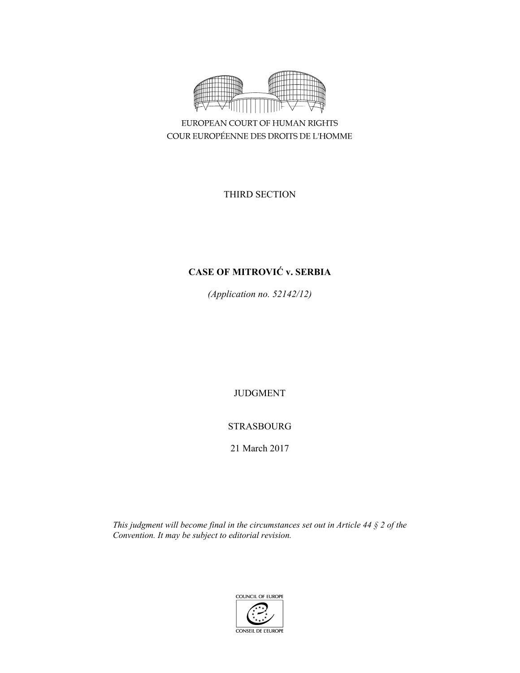

EUROPEAN COURT OF HUMAN RIGHTS COUR EUROPÉENNE DES DROITS DE L'HOMME

THIRD SECTION

# **CASE OF MITROVIĆ v. SERBIA**

*(Application no. 52142/12)* 

JUDGMENT

STRASBOURG

21 March 2017

*This judgment will become final in the circumstances set out in Article 44 § 2 of the Convention. It may be subject to editorial revision.* 

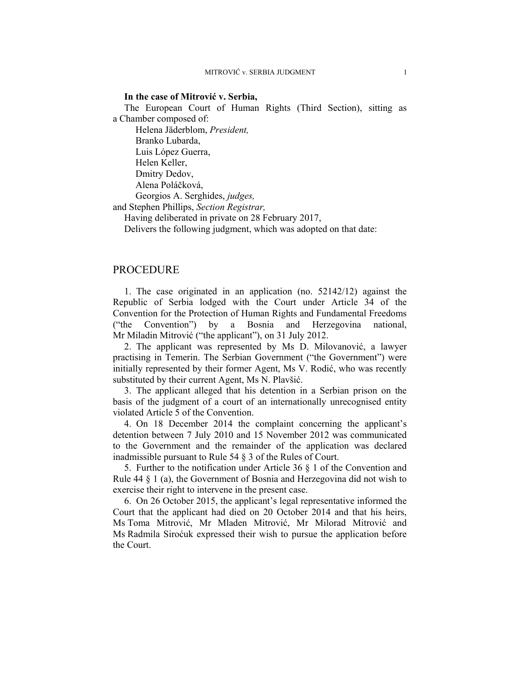#### **In the case of Mitrović v. Serbia,**

The European Court of Human Rights (Third Section), sitting as a Chamber composed of:

 Helena Jäderblom, *President,*  Branko Lubarda, Luis López Guerra, Helen Keller, Dmitry Dedov, Alena Poláčková,

Georgios A. Serghides, *judges,* 

and Stephen Phillips, *Section Registrar,*

Having deliberated in private on 28 February 2017,

Delivers the following judgment, which was adopted on that date:

### PROCEDURE

1. The case originated in an application (no. 52142/12) against the Republic of Serbia lodged with the Court under Article 34 of the Convention for the Protection of Human Rights and Fundamental Freedoms ("the Convention") by a Bosnia and Herzegovina national, Mr Miladin Mitrović ("the applicant"), on 31 July 2012.

2. The applicant was represented by Ms D. Milovanović, a lawyer practising in Temerin. The Serbian Government ("the Government") were initially represented by their former Agent, Ms V. Rodić, who was recently substituted by their current Agent, Ms N. Plavšić.

3. The applicant alleged that his detention in a Serbian prison on the basis of the judgment of a court of an internationally unrecognised entity violated Article 5 of the Convention.

4. On 18 December 2014 the complaint concerning the applicant's detention between 7 July 2010 and 15 November 2012 was communicated to the Government and the remainder of the application was declared inadmissible pursuant to Rule 54 § 3 of the Rules of Court.

5. Further to the notification under Article 36 § 1 of the Convention and Rule 44 § 1 (a), the Government of Bosnia and Herzegovina did not wish to exercise their right to intervene in the present case.

6. On 26 October 2015, the applicant's legal representative informed the Court that the applicant had died on 20 October 2014 and that his heirs, Ms Toma Mitrović, Mr Mladen Mitrović, Mr Milorad Mitrović and Ms Radmila Siroćuk expressed their wish to pursue the application before the Court.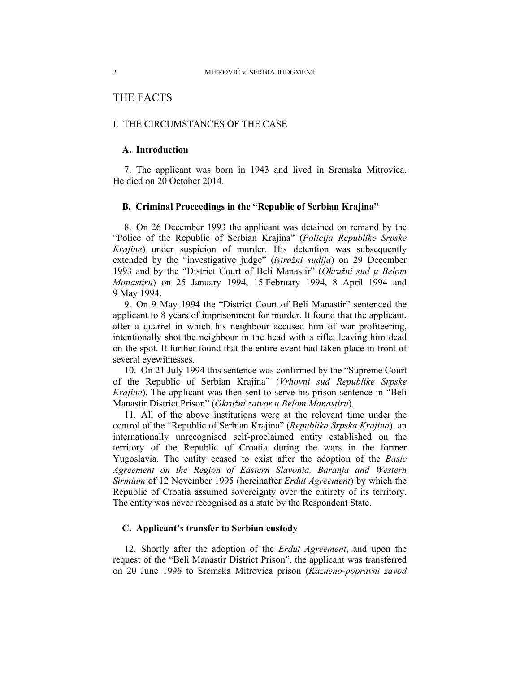## THE FACTS

#### I. THE CIRCUMSTANCES OF THE CASE

### **A. Introduction**

7. The applicant was born in 1943 and lived in Sremska Mitrovica. He died on 20 October 2014.

#### **B. Criminal Proceedings in the "Republic of Serbian Krajina"**

8. On 26 December 1993 the applicant was detained on remand by the "Police of the Republic of Serbian Krajina" (*Policija Republike Srpske Krajine*) under suspicion of murder. His detention was subsequently extended by the "investigative judge" (*istražni sudija*) on 29 December 1993 and by the "District Court of Beli Manastir" (*Okružni sud u Belom Manastiru*) on 25 January 1994, 15 February 1994, 8 April 1994 and 9 May 1994.

9. On 9 May 1994 the "District Court of Beli Manastir" sentenced the applicant to 8 years of imprisonment for murder. It found that the applicant, after a quarrel in which his neighbour accused him of war profiteering, intentionally shot the neighbour in the head with a rifle, leaving him dead on the spot. It further found that the entire event had taken place in front of several eyewitnesses.

10. On 21 July 1994 this sentence was confirmed by the "Supreme Court of the Republic of Serbian Krajina" (*Vrhovni sud Republike Srpske Krajine*). The applicant was then sent to serve his prison sentence in "Beli Manastir District Prison" (*Okružni zatvor u Belom Manastiru*).

11. All of the above institutions were at the relevant time under the control of the "Republic of Serbian Krajina" (*Republika Srpska Krajina*), an internationally unrecognised self-proclaimed entity established on the territory of the Republic of Croatia during the wars in the former Yugoslavia. The entity ceased to exist after the adoption of the *Basic Agreement on the Region of Eastern Slavonia, Baranja and Western Sirmium* of 12 November 1995 (hereinafter *Erdut Agreement*) by which the Republic of Croatia assumed sovereignty over the entirety of its territory. The entity was never recognised as a state by the Respondent State.

### **C. Applicant's transfer to Serbian custody**

12. Shortly after the adoption of the *Erdut Agreement*, and upon the request of the "Beli Manastir District Prison", the applicant was transferred on 20 June 1996 to Sremska Mitrovica prison (*Kazneno-popravni zavod*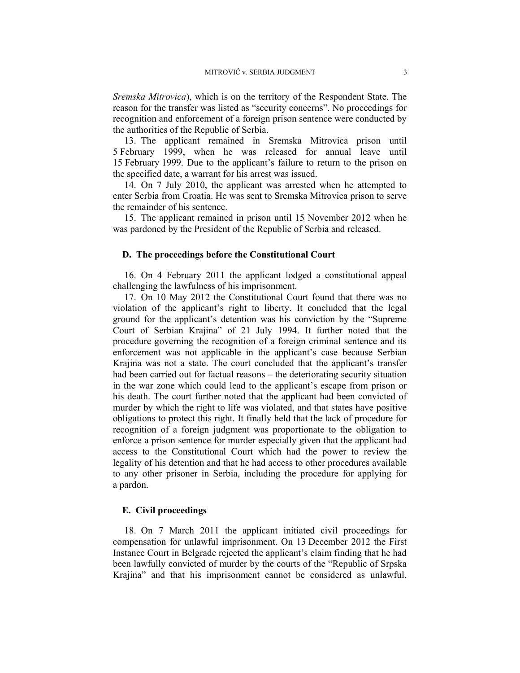*Sremska Mitrovica*), which is on the territory of the Respondent State. The reason for the transfer was listed as "security concerns". No proceedings for recognition and enforcement of a foreign prison sentence were conducted by the authorities of the Republic of Serbia.

13. The applicant remained in Sremska Mitrovica prison until 5 February 1999, when he was released for annual leave until 15 February 1999. Due to the applicant's failure to return to the prison on the specified date, a warrant for his arrest was issued.

14. On 7 July 2010, the applicant was arrested when he attempted to enter Serbia from Croatia. He was sent to Sremska Mitrovica prison to serve the remainder of his sentence.

15. The applicant remained in prison until 15 November 2012 when he was pardoned by the President of the Republic of Serbia and released.

#### **D. The proceedings before the Constitutional Court**

16. On 4 February 2011 the applicant lodged a constitutional appeal challenging the lawfulness of his imprisonment.

17. On 10 May 2012 the Constitutional Court found that there was no violation of the applicant's right to liberty. It concluded that the legal ground for the applicant's detention was his conviction by the "Supreme Court of Serbian Krajina" of 21 July 1994. It further noted that the procedure governing the recognition of a foreign criminal sentence and its enforcement was not applicable in the applicant's case because Serbian Krajina was not a state. The court concluded that the applicant's transfer had been carried out for factual reasons – the deteriorating security situation in the war zone which could lead to the applicant's escape from prison or his death. The court further noted that the applicant had been convicted of murder by which the right to life was violated, and that states have positive obligations to protect this right. It finally held that the lack of procedure for recognition of a foreign judgment was proportionate to the obligation to enforce a prison sentence for murder especially given that the applicant had access to the Constitutional Court which had the power to review the legality of his detention and that he had access to other procedures available to any other prisoner in Serbia, including the procedure for applying for a pardon.

### **E. Civil proceedings**

18. On 7 March 2011 the applicant initiated civil proceedings for compensation for unlawful imprisonment. On 13 December 2012 the First Instance Court in Belgrade rejected the applicant's claim finding that he had been lawfully convicted of murder by the courts of the "Republic of Srpska Krajina" and that his imprisonment cannot be considered as unlawful.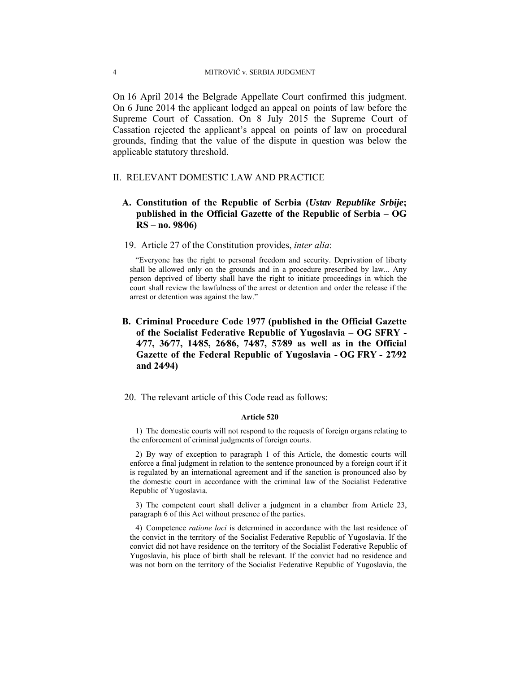On 16 April 2014 the Belgrade Appellate Court confirmed this judgment. On 6 June 2014 the applicant lodged an appeal on points of law before the Supreme Court of Cassation. On 8 July 2015 the Supreme Court of Cassation rejected the applicant's appeal on points of law on procedural grounds, finding that the value of the dispute in question was below the applicable statutory threshold.

### II. RELEVANT DOMESTIC LAW AND PRACTICE

### **A. Constitution of the Republic of Serbia (***Ustav Republike Srbije***; published in the Official Gazette of the Republic of Serbia – OG RS – no. 98⁄06)**

#### 19. Article 27 of the Constitution provides, *inter alia*:

"Everyone has the right to personal freedom and security. Deprivation of liberty shall be allowed only on the grounds and in a procedure prescribed by law... Any person deprived of liberty shall have the right to initiate proceedings in which the court shall review the lawfulness of the arrest or detention and order the release if the arrest or detention was against the law."

- **B. Criminal Procedure Code 1977 (published in the Official Gazette of the Socialist Federative Republic of Yugoslavia – OG SFRY - 4⁄77, 36⁄77, 14⁄85, 26⁄86, 74⁄87, 57⁄89 as well as in the Official Gazette of the Federal Republic of Yugoslavia - OG FRY - 27⁄92 and 24⁄94)**
- 20. The relevant article of this Code read as follows:

#### **Article 520**

1) The domestic courts will not respond to the requests of foreign organs relating to the enforcement of criminal judgments of foreign courts.

2) By way of exception to paragraph 1 of this Article, the domestic courts will enforce a final judgment in relation to the sentence pronounced by a foreign court if it is regulated by an international agreement and if the sanction is pronounced also by the domestic court in accordance with the criminal law of the Socialist Federative Republic of Yugoslavia.

3) The competent court shall deliver a judgment in a chamber from Article 23, paragraph 6 of this Act without presence of the parties.

4) Competence *ratione loci* is determined in accordance with the last residence of the convict in the territory of the Socialist Federative Republic of Yugoslavia. If the convict did not have residence on the territory of the Socialist Federative Republic of Yugoslavia, his place of birth shall be relevant. If the convict had no residence and was not born on the territory of the Socialist Federative Republic of Yugoslavia, the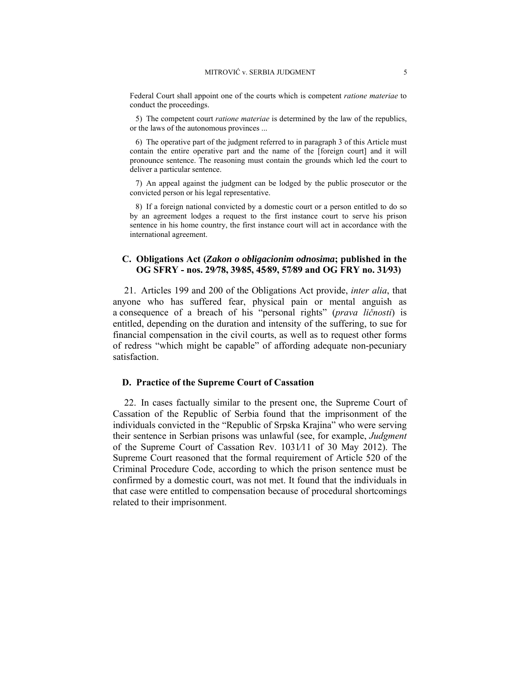Federal Court shall appoint one of the courts which is competent *ratione materiae* to conduct the proceedings.

5) The competent court *ratione materiae* is determined by the law of the republics, or the laws of the autonomous provinces ...

6) The operative part of the judgment referred to in paragraph 3 of this Article must contain the entire operative part and the name of the [foreign court] and it will pronounce sentence. The reasoning must contain the grounds which led the court to deliver a particular sentence.

7) An appeal against the judgment can be lodged by the public prosecutor or the convicted person or his legal representative.

8) If a foreign national convicted by a domestic court or a person entitled to do so by an agreement lodges a request to the first instance court to serve his prison sentence in his home country, the first instance court will act in accordance with the international agreement.

### **C. Obligations Act (***Zakon o obligacionim odnosima***; published in the OG SFRY - nos. 29⁄78, 39⁄85, 45⁄89, 57⁄89 and OG FRY no. 31⁄93)**

21. Articles 199 and 200 of the Obligations Act provide, *inter alia*, that anyone who has suffered fear, physical pain or mental anguish as a consequence of a breach of his "personal rights" (*prava ličnosti*) is entitled, depending on the duration and intensity of the suffering, to sue for financial compensation in the civil courts, as well as to request other forms of redress "which might be capable" of affording adequate non-pecuniary satisfaction.

#### **D. Practice of the Supreme Court of Cassation**

22. In cases factually similar to the present one, the Supreme Court of Cassation of the Republic of Serbia found that the imprisonment of the individuals convicted in the "Republic of Srpska Krajina" who were serving their sentence in Serbian prisons was unlawful (see, for example, *Judgment* of the Supreme Court of Cassation Rev. 1031⁄11 of 30 May 2012). The Supreme Court reasoned that the formal requirement of Article 520 of the Criminal Procedure Code, according to which the prison sentence must be confirmed by a domestic court, was not met. It found that the individuals in that case were entitled to compensation because of procedural shortcomings related to their imprisonment.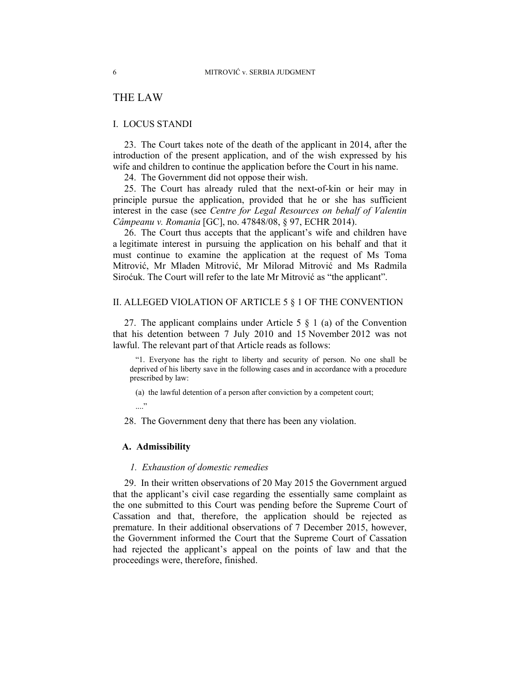## THE LAW

### I. LOCUS STANDI

23. The Court takes note of the death of the applicant in 2014, after the introduction of the present application, and of the wish expressed by his wife and children to continue the application before the Court in his name.

24. The Government did not oppose their wish.

25. The Court has already ruled that the next-of-kin or heir may in principle pursue the application, provided that he or she has sufficient interest in the case (see *Centre for Legal Resources on behalf of Valentin Câmpeanu v. Romania* [GC], no. 47848/08, § 97, ECHR 2014).

26. The Court thus accepts that the applicant's wife and children have a legitimate interest in pursuing the application on his behalf and that it must continue to examine the application at the request of Ms Toma Mitrović, Mr Mladen Mitrović, Mr Milorad Mitrović and Ms Radmila Siroćuk. The Court will refer to the late Mr Mitrović as "the applicant".

#### II. ALLEGED VIOLATION OF ARTICLE 5 § 1 OF THE CONVENTION

27. The applicant complains under Article 5  $\S$  1 (a) of the Convention that his detention between 7 July 2010 and 15 November 2012 was not lawful. The relevant part of that Article reads as follows:

"1. Everyone has the right to liberty and security of person. No one shall be deprived of his liberty save in the following cases and in accordance with a procedure prescribed by law:

(a) the lawful detention of a person after conviction by a competent court;

...."

28. The Government deny that there has been any violation.

#### **A. Admissibility**

### *1. Exhaustion of domestic remedies*

29. In their written observations of 20 May 2015 the Government argued that the applicant's civil case regarding the essentially same complaint as the one submitted to this Court was pending before the Supreme Court of Cassation and that, therefore, the application should be rejected as premature. In their additional observations of 7 December 2015, however, the Government informed the Court that the Supreme Court of Cassation had rejected the applicant's appeal on the points of law and that the proceedings were, therefore, finished.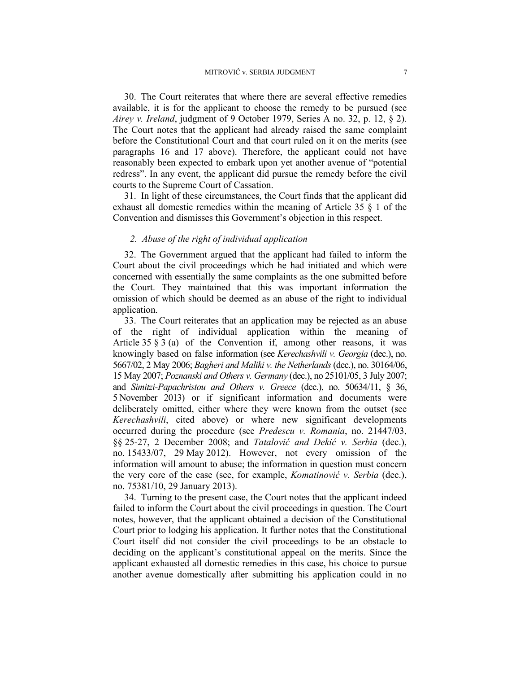30. The Court reiterates that where there are several effective remedies available, it is for the applicant to choose the remedy to be pursued (see *Airey v. Ireland*, judgment of 9 October 1979, Series A no. 32, p. 12, § 2). The Court notes that the applicant had already raised the same complaint before the Constitutional Court and that court ruled on it on the merits (see paragraphs 16 and 17 above). Therefore, the applicant could not have reasonably been expected to embark upon yet another avenue of "potential redress". In any event, the applicant did pursue the remedy before the civil courts to the Supreme Court of Cassation.

31. In light of these circumstances, the Court finds that the applicant did exhaust all domestic remedies within the meaning of Article 35 § 1 of the Convention and dismisses this Government's objection in this respect.

### *2. Abuse of the right of individual application*

32. The Government argued that the applicant had failed to inform the Court about the civil proceedings which he had initiated and which were concerned with essentially the same complaints as the one submitted before the Court. They maintained that this was important information the omission of which should be deemed as an abuse of the right to individual application.

33. The Court reiterates that an application may be rejected as an abuse of the right of individual application within the meaning of Article  $35 \tS 3$  (a) of the Convention if, among other reasons, it was knowingly based on false information (see *Kerechashvili v. Georgia* (dec.), no. 5667/02, 2 May 2006; *Bagheri and Maliki v. the Netherlands* (dec.), no. 30164/06, 15 May 2007; *Poznanski and Others v. Germany* (dec.), no 25101/05, 3 July 2007; and *Simitzi-Papachristou and Others v. Greece* (dec.), no. 50634/11, § 36, 5 November 2013) or if significant information and documents were deliberately omitted, either where they were known from the outset (see *Kerechashvili*, cited above) or where new significant developments occurred during the procedure (see *Predescu v. Romania*, no. 21447/03, §§ 25-27, 2 December 2008; and *Tatalović and Dekić v. Serbia* (dec.), no. 15433/07, 29 May 2012). However, not every omission of the information will amount to abuse; the information in question must concern the very core of the case (see, for example, *Komatinović v. Serbia* (dec.), no. 75381/10, 29 January 2013).

34. Turning to the present case, the Court notes that the applicant indeed failed to inform the Court about the civil proceedings in question. The Court notes, however, that the applicant obtained a decision of the Constitutional Court prior to lodging his application. It further notes that the Constitutional Court itself did not consider the civil proceedings to be an obstacle to deciding on the applicant's constitutional appeal on the merits. Since the applicant exhausted all domestic remedies in this case, his choice to pursue another avenue domestically after submitting his application could in no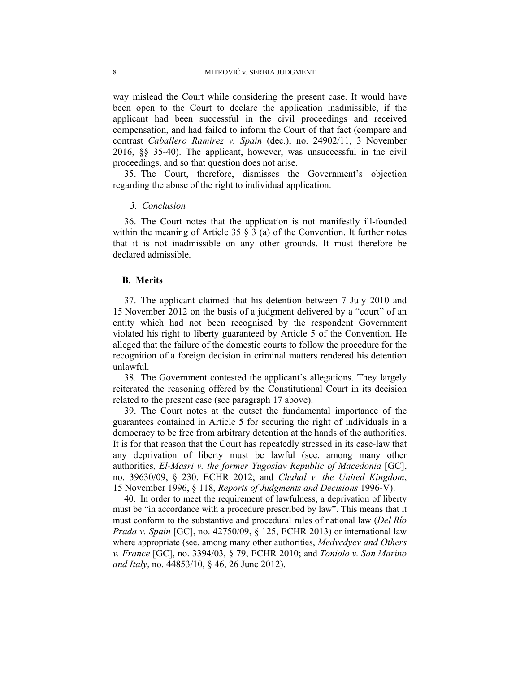way mislead the Court while considering the present case. It would have been open to the Court to declare the application inadmissible, if the applicant had been successful in the civil proceedings and received compensation, and had failed to inform the Court of that fact (compare and contrast *Caballero Ramirez v. Spain* (dec.), no. 24902/11, 3 November 2016, §§ 35-40). The applicant, however, was unsuccessful in the civil proceedings, and so that question does not arise.

35. The Court, therefore, dismisses the Government's objection regarding the abuse of the right to individual application.

### *3. Conclusion*

36. The Court notes that the application is not manifestly ill-founded within the meaning of Article 35  $\S$  3 (a) of the Convention. It further notes that it is not inadmissible on any other grounds. It must therefore be declared admissible.

#### **B. Merits**

37. The applicant claimed that his detention between 7 July 2010 and 15 November 2012 on the basis of a judgment delivered by a "court" of an entity which had not been recognised by the respondent Government violated his right to liberty guaranteed by Article 5 of the Convention. He alleged that the failure of the domestic courts to follow the procedure for the recognition of a foreign decision in criminal matters rendered his detention unlawful.

38. The Government contested the applicant's allegations. They largely reiterated the reasoning offered by the Constitutional Court in its decision related to the present case (see paragraph 17 above).

39. The Court notes at the outset the fundamental importance of the guarantees contained in Article 5 for securing the right of individuals in a democracy to be free from arbitrary detention at the hands of the authorities. It is for that reason that the Court has repeatedly stressed in its case-law that any deprivation of liberty must be lawful (see, among many other authorities, *El-Masri v. the former Yugoslav Republic of Macedonia* [GC], no. 39630/09, § 230, ECHR 2012; and *Chahal v. the United Kingdom*, 15 November 1996, § 118, *Reports of Judgments and Decisions* 1996-V).

40. In order to meet the requirement of lawfulness, a deprivation of liberty must be "in accordance with a procedure prescribed by law". This means that it must conform to the substantive and procedural rules of national law (*Del Río Prada v. Spain* [GC], no. 42750/09, § 125, ECHR 2013) or international law where appropriate (see, among many other authorities, *Medvedyev and Others v. France* [GC], no. 3394/03, § 79, ECHR 2010; and *Toniolo v. San Marino and Italy*, no. 44853/10, § 46, 26 June 2012).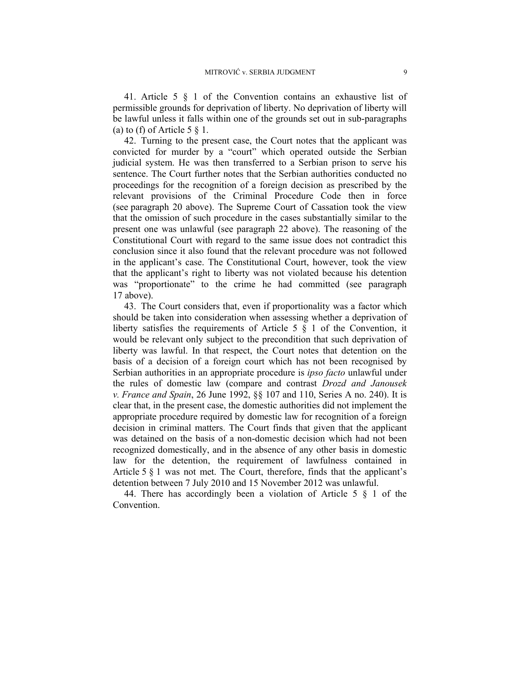41. Article 5 § 1 of the Convention contains an exhaustive list of permissible grounds for deprivation of liberty. No deprivation of liberty will be lawful unless it falls within one of the grounds set out in sub-paragraphs (a) to (f) of Article  $5 \n§ 1$ .

42. Turning to the present case, the Court notes that the applicant was convicted for murder by a "court" which operated outside the Serbian judicial system. He was then transferred to a Serbian prison to serve his sentence. The Court further notes that the Serbian authorities conducted no proceedings for the recognition of a foreign decision as prescribed by the relevant provisions of the Criminal Procedure Code then in force (see paragraph 20 above). The Supreme Court of Cassation took the view that the omission of such procedure in the cases substantially similar to the present one was unlawful (see paragraph 22 above). The reasoning of the Constitutional Court with regard to the same issue does not contradict this conclusion since it also found that the relevant procedure was not followed in the applicant's case. The Constitutional Court, however, took the view that the applicant's right to liberty was not violated because his detention was "proportionate" to the crime he had committed (see paragraph 17 above).

43. The Court considers that, even if proportionality was a factor which should be taken into consideration when assessing whether a deprivation of liberty satisfies the requirements of Article 5 § 1 of the Convention, it would be relevant only subject to the precondition that such deprivation of liberty was lawful. In that respect, the Court notes that detention on the basis of a decision of a foreign court which has not been recognised by Serbian authorities in an appropriate procedure is *ipso facto* unlawful under the rules of domestic law (compare and contrast *Drozd and Janousek v. France and Spain*, 26 June 1992, §§ 107 and 110, Series A no. 240). It is clear that, in the present case, the domestic authorities did not implement the appropriate procedure required by domestic law for recognition of a foreign decision in criminal matters. The Court finds that given that the applicant was detained on the basis of a non-domestic decision which had not been recognized domestically, and in the absence of any other basis in domestic law for the detention, the requirement of lawfulness contained in Article 5 § 1 was not met. The Court, therefore, finds that the applicant's detention between 7 July 2010 and 15 November 2012 was unlawful.

44. There has accordingly been a violation of Article 5 § 1 of the Convention.